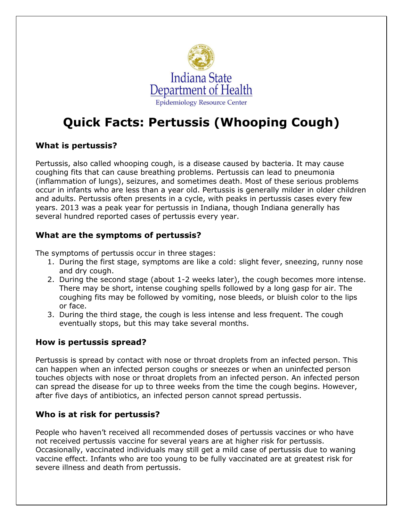

# **Quick Facts: Pertussis (Whooping Cough)**

# **What is pertussis?**

Pertussis, also called whooping cough, is a disease caused by bacteria. It may cause coughing fits that can cause breathing problems. Pertussis can lead to pneumonia (inflammation of lungs), seizures, and sometimes death. Most of these serious problems occur in infants who are less than a year old. Pertussis is generally milder in older children and adults. Pertussis often presents in a cycle, with peaks in pertussis cases every few years. 2013 was a peak year for pertussis in Indiana, though Indiana generally has several hundred reported cases of pertussis every year.

# **What are the symptoms of pertussis?**

The symptoms of pertussis occur in three stages:

- 1. During the first stage, symptoms are like a cold: slight fever, sneezing, runny nose and dry cough.
- 2. During the second stage (about 1-2 weeks later), the cough becomes more intense. There may be short, intense coughing spells followed by a long gasp for air. The coughing fits may be followed by vomiting, nose bleeds, or bluish color to the lips or face.
- 3. During the third stage, the cough is less intense and less frequent. The cough eventually stops, but this may take several months.

#### **How is pertussis spread?**

Pertussis is spread by contact with nose or throat droplets from an infected person. This can happen when an infected person coughs or sneezes or when an uninfected person touches objects with nose or throat droplets from an infected person. An infected person can spread the disease for up to three weeks from the time the cough begins. However, after five days of antibiotics, an infected person cannot spread pertussis.

#### **Who is at risk for pertussis?**

People who haven't received all recommended doses of pertussis vaccines or who have not received pertussis vaccine for several years are at higher risk for pertussis. Occasionally, vaccinated individuals may still get a mild case of pertussis due to waning vaccine effect. Infants who are too young to be fully vaccinated are at greatest risk for severe illness and death from pertussis.